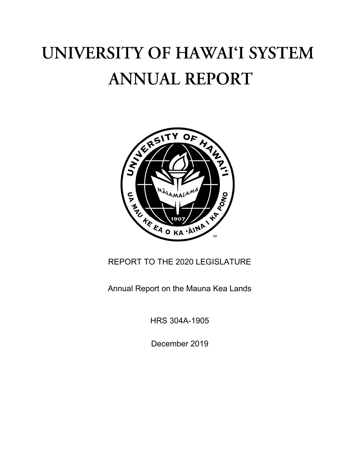# UNIVERSITY OF HAWAI'I SYSTEM **ANNUAL REPORT**



REPORT TO THE 2020 LEGISLATURE

Annual Report on the Mauna Kea Lands

HRS 304A-1905

December 2019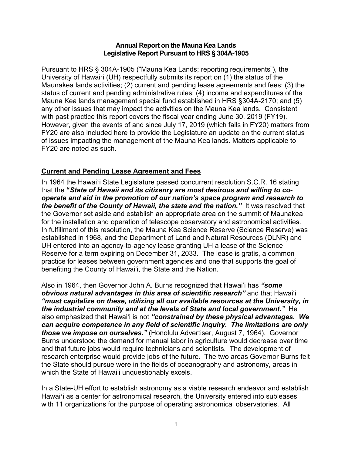#### **Annual Report on the Mauna Kea Lands Legislative Report Pursuant to HRS § 304A-1905**

Pursuant to HRS § 304A-1905 ("Mauna Kea Lands; reporting requirements"), the University of Hawaiʻi (UH) respectfully submits its report on (1) the status of the Maunakea lands activities; (2) current and pending lease agreements and fees; (3) the status of current and pending administrative rules; (4) income and expenditures of the Mauna Kea lands management special fund established in HRS §304A-2170; and (5) any other issues that may impact the activities on the Mauna Kea lands. Consistent with past practice this report covers the fiscal year ending June 30, 2019 (FY19). However, given the events of and since July 17, 2019 (which falls in FY20) matters from FY20 are also included here to provide the Legislature an update on the current status of issues impacting the management of the Mauna Kea lands. Matters applicable to FY20 are noted as such.

# **Current and Pending Lease Agreement and Fees**

In 1964 the Hawaiʻi State Legislature passed concurrent resolution S.C.R. 16 stating that the **"***State of Hawaii and its citizenry are most desirous and willing to cooperate and aid in the promotion of our nation's space program and research to the benefit of the County of Hawaii, the state and the nation."* It was resolved that the Governor set aside and establish an appropriate area on the summit of Maunakea for the installation and operation of telescope observatory and astronomical activities*.* In fulfillment of this resolution, the Mauna Kea Science Reserve (Science Reserve) was established in 1968, and the Department of Land and Natural Resources (DLNR) and UH entered into an agency-to-agency lease granting UH a lease of the Science Reserve for a term expiring on December 31, 2033. The lease is gratis, a common practice for leases between government agencies and one that supports the goal of benefiting the County of Hawaiʻi, the State and the Nation.

Also in 1964, then Governor John A. Burns recognized that Hawaiʻi has *"some obvious natural advantages in this area of scientific research"* and that Hawaiʻi *"must capitalize on these, utilizing all our available resources at the University, in the industrial community and at the levels of State and local government."* He also emphasized that Hawaiʻi is not *"constrained by these physical advantages. We can acquire competence in any field of scientific inquiry. The limitations are only those we impose on ourselves."* (Honolulu Advertiser, August 7, 1964). Governor Burns understood the demand for manual labor in agriculture would decrease over time and that future jobs would require technicians and scientists. The development of research enterprise would provide jobs of the future. The two areas Governor Burns felt the State should pursue were in the fields of oceanography and astronomy, areas in which the State of Hawai'i unquestionably excels.

In a State-UH effort to establish astronomy as a viable research endeavor and establish Hawaiʻi as a center for astronomical research, the University entered into subleases with 11 organizations for the purpose of operating astronomical observatories. All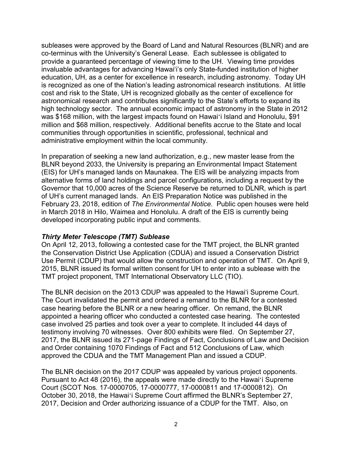subleases were approved by the Board of Land and Natural Resources (BLNR) and are co-terminus with the University's General Lease. Each sublessee is obligated to provide a guaranteed percentage of viewing time to the UH. Viewing time provides invaluable advantages for advancing Hawaiʻi's only State-funded institution of higher education, UH, as a center for excellence in research, including astronomy. Today UH is recognized as one of the Nation's leading astronomical research institutions. At little cost and risk to the State, UH is recognized globally as the center of excellence for astronomical research and contributes significantly to the State's efforts to expand its high technology sector. The annual economic impact of astronomy in the State in 2012 was \$168 million, with the largest impacts found on Hawaiʻi Island and Honolulu, \$91 million and \$68 million, respectively. Additional benefits accrue to the State and local communities through opportunities in scientific, professional, technical and administrative employment within the local community.

In preparation of seeking a new land authorization, e.g., new master lease from the BLNR beyond 2033, the University is preparing an Environmental Impact Statement (EIS) for UH's managed lands on Maunakea. The EIS will be analyzing impacts from alternative forms of land holdings and parcel configurations, including a request by the Governor that 10,000 acres of the Science Reserve be returned to DLNR, which is part of UH's current managed lands. An EIS Preparation Notice was published in the February 23, 2018, edition of *The Environmental Notice*. Public open houses were held in March 2018 in Hilo, Waimea and Honolulu. A draft of the EIS is currently being developed incorporating public input and comments.

### *Thirty Meter Telescope (TMT) Sublease*

On April 12, 2013, following a contested case for the TMT project, the BLNR granted the Conservation District Use Application (CDUA) and issued a Conservation District Use Permit (CDUP) that would allow the construction and operation of TMT. On April 9, 2015, BLNR issued its formal written consent for UH to enter into a sublease with the TMT project proponent, TMT International Observatory LLC (TIO).

The BLNR decision on the 2013 CDUP was appealed to the Hawaiʻi Supreme Court. The Court invalidated the permit and ordered a remand to the BLNR for a contested case hearing before the BLNR or a new hearing officer. On remand, the BLNR appointed a hearing officer who conducted a contested case hearing. The contested case involved 25 parties and took over a year to complete. It included 44 days of testimony involving 70 witnesses. Over 800 exhibits were filed. On September 27, 2017, the BLNR issued its 271-page Findings of Fact, Conclusions of Law and Decision and Order containing 1070 Findings of Fact and 512 Conclusions of Law, which approved the CDUA and the TMT Management Plan and issued a CDUP.

The BLNR decision on the 2017 CDUP was appealed by various project opponents. Pursuant to Act 48 (2016), the appeals were made directly to the Hawaiʻi Supreme Court (SCOT Nos. 17-0000705, 17-0000777, 17-0000811 and 17-0000812). On October 30, 2018, the Hawaiʻi Supreme Court affirmed the BLNR's September 27, 2017, Decision and Order authorizing issuance of a CDUP for the TMT. Also, on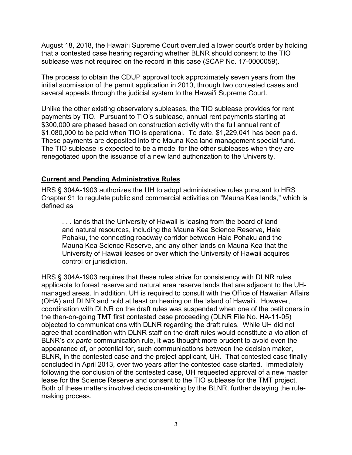August 18, 2018, the Hawaiʻi Supreme Court overruled a lower court's order by holding that a contested case hearing regarding whether BLNR should consent to the TIO sublease was not required on the record in this case (SCAP No. 17-0000059).

The process to obtain the CDUP approval took approximately seven years from the initial submission of the permit application in 2010, through two contested cases and several appeals through the judicial system to the Hawaiʻi Supreme Court.

Unlike the other existing observatory subleases, the TIO sublease provides for rent payments by TIO. Pursuant to TIO's sublease, annual rent payments starting at \$300,000 are phased based on construction activity with the full annual rent of \$1,080,000 to be paid when TIO is operational. To date, \$1,229,041 has been paid. These payments are deposited into the Mauna Kea land management special fund. The TIO sublease is expected to be a model for the other subleases when they are renegotiated upon the issuance of a new land authorization to the University.

## **Current and Pending Administrative Rules**

HRS § 304A-1903 authorizes the UH to adopt administrative rules pursuant to HRS Chapter 91 to regulate public and commercial activities on "Mauna Kea lands," which is defined as

. . . lands that the University of Hawaii is leasing from the board of land and natural resources, including the Mauna Kea Science Reserve, Hale Pohaku, the connecting roadway corridor between Hale Pohaku and the Mauna Kea Science Reserve, and any other lands on Mauna Kea that the University of Hawaii leases or over which the University of Hawaii acquires control or jurisdiction.

HRS § 304A-1903 requires that these rules strive for consistency with DLNR rules applicable to forest reserve and natural area reserve lands that are adjacent to the UHmanaged areas. In addition, UH is required to consult with the Office of Hawaiian Affairs (OHA) and DLNR and hold at least on hearing on the Island of Hawaiʻi. However, coordination with DLNR on the draft rules was suspended when one of the petitioners in the then-on-going TMT first contested case proceeding (DLNR File No. HA-11-05) objected to communications with DLNR regarding the draft rules. While UH did not agree that coordination with DLNR staff on the draft rules would constitute a violation of BLNR's *ex parte* communication rule, it was thought more prudent to avoid even the appearance of, or potential for, such communications between the decision maker, BLNR, in the contested case and the project applicant, UH. That contested case finally concluded in April 2013, over two years after the contested case started. Immediately following the conclusion of the contested case, UH requested approval of a new master lease for the Science Reserve and consent to the TIO sublease for the TMT project. Both of these matters involved decision-making by the BLNR, further delaying the rulemaking process.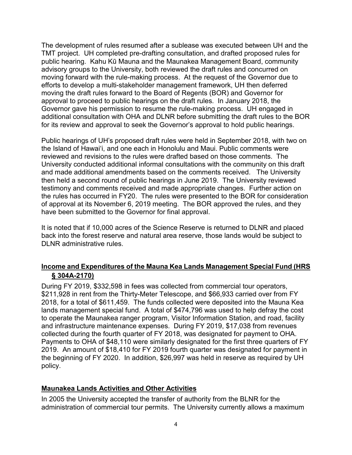The development of rules resumed after a sublease was executed between UH and the TMT project. UH completed pre-drafting consultation, and drafted proposed rules for public hearing. Kahu Kū Mauna and the Maunakea Management Board, community advisory groups to the University, both reviewed the draft rules and concurred on moving forward with the rule-making process. At the request of the Governor due to efforts to develop a multi-stakeholder management framework, UH then deferred moving the draft rules forward to the Board of Regents (BOR) and Governor for approval to proceed to public hearings on the draft rules. In January 2018, the Governor gave his permission to resume the rule-making process. UH engaged in additional consultation with OHA and DLNR before submitting the draft rules to the BOR for its review and approval to seek the Governor's approval to hold public hearings.

Public hearings of UH's proposed draft rules were held in September 2018, with two on the Island of Hawaiʻi, and one each in Honolulu and Maui. Public comments were reviewed and revisions to the rules were drafted based on those comments. The University conducted additional informal consultations with the community on this draft and made additional amendments based on the comments received. The University then held a second round of public hearings in June 2019. The University reviewed testimony and comments received and made appropriate changes. Further action on the rules has occurred in FY20. The rules were presented to the BOR for consideration of approval at its November 6, 2019 meeting. The BOR approved the rules, and they have been submitted to the Governor for final approval.

It is noted that if 10,000 acres of the Science Reserve is returned to DLNR and placed back into the forest reserve and natural area reserve, those lands would be subject to DLNR administrative rules.

# **Income and Expenditures of the Mauna Kea Lands Management Special Fund (HRS § 304A-2170)**

During FY 2019, \$332,598 in fees was collected from commercial tour operators, \$211,928 in rent from the Thirty-Meter Telescope, and \$66,933 carried over from FY 2018, for a total of \$611,459. The funds collected were deposited into the Mauna Kea lands management special fund. A total of \$474,796 was used to help defray the cost to operate the Maunakea ranger program, Visitor Information Station, and road, facility and infrastructure maintenance expenses. During FY 2019, \$17,038 from revenues collected during the fourth quarter of FY 2018, was designated for payment to OHA. Payments to OHA of \$48,110 were similarly designated for the first three quarters of FY 2019. An amount of \$18,410 for FY 2019 fourth quarter was designated for payment in the beginning of FY 2020. In addition, \$26,997 was held in reserve as required by UH policy.

# **Maunakea Lands Activities and Other Activities**

In 2005 the University accepted the transfer of authority from the BLNR for the administration of commercial tour permits. The University currently allows a maximum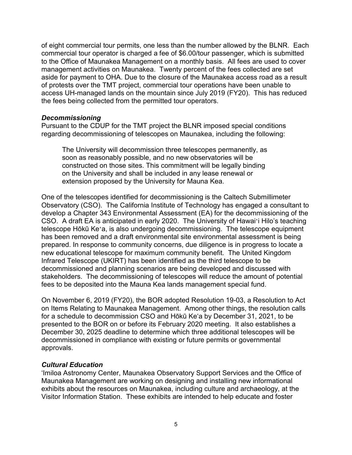of eight commercial tour permits, one less than the number allowed by the BLNR. Each commercial tour operator is charged a fee of \$6.00/tour passenger, which is submitted to the Office of Maunakea Management on a monthly basis. All fees are used to cover management activities on Maunakea. Twenty percent of the fees collected are set aside for payment to OHA. Due to the closure of the Maunakea access road as a result of protests over the TMT project, commercial tour operations have been unable to access UH-managed lands on the mountain since July 2019 (FY20). This has reduced the fees being collected from the permitted tour operators.

#### *Decommissioning*

Pursuant to the CDUP for the TMT project the BLNR imposed special conditions regarding decommissioning of telescopes on Maunakea, including the following:

The University will decommission three telescopes permanently, as soon as reasonably possible, and no new observatories will be constructed on those sites. This commitment will be legally binding on the University and shall be included in any lease renewal or extension proposed by the University for Mauna Kea.

One of the telescopes identified for decommissioning is the Caltech Submillimeter Observatory (CSO). The California Institute of Technology has engaged a consultant to develop a Chapter 343 Environmental Assessment (EA) for the decommissioning of the CSO. A draft EA is anticipated in early 2020. The University of Hawai'i Hilo's teaching telescope Hōkū Ke'a, is also undergoing decommissioning. The telescope equipment has been removed and a draft environmental site environmental assessment is being prepared. In response to community concerns, due diligence is in progress to locate a new educational telescope for maximum community benefit. The United Kingdom Infrared Telescope (UKIRT) has been identified as the third telescope to be decommissioned and planning scenarios are being developed and discussed with stakeholders. The decommissioning of telescopes will reduce the amount of potential fees to be deposited into the Mauna Kea lands management special fund.

On November 6, 2019 (FY20), the BOR adopted Resolution 19-03, a Resolution to Act on Items Relating to Maunakea Management. Among other things, the resolution calls for a schedule to decommission CSO and Hōkū Ke'a by December 31, 2021, to be presented to the BOR on or before its February 2020 meeting. It also establishes a December 30, 2025 deadline to determine which three additional telescopes will be decommissioned in compliance with existing or future permits or governmental approvals.

### *Cultural Education*

'Imiloa Astronomy Center, Maunakea Observatory Support Services and the Office of Maunakea Management are working on designing and installing new informational exhibits about the resources on Maunakea, including culture and archaeology, at the Visitor Information Station. These exhibits are intended to help educate and foster